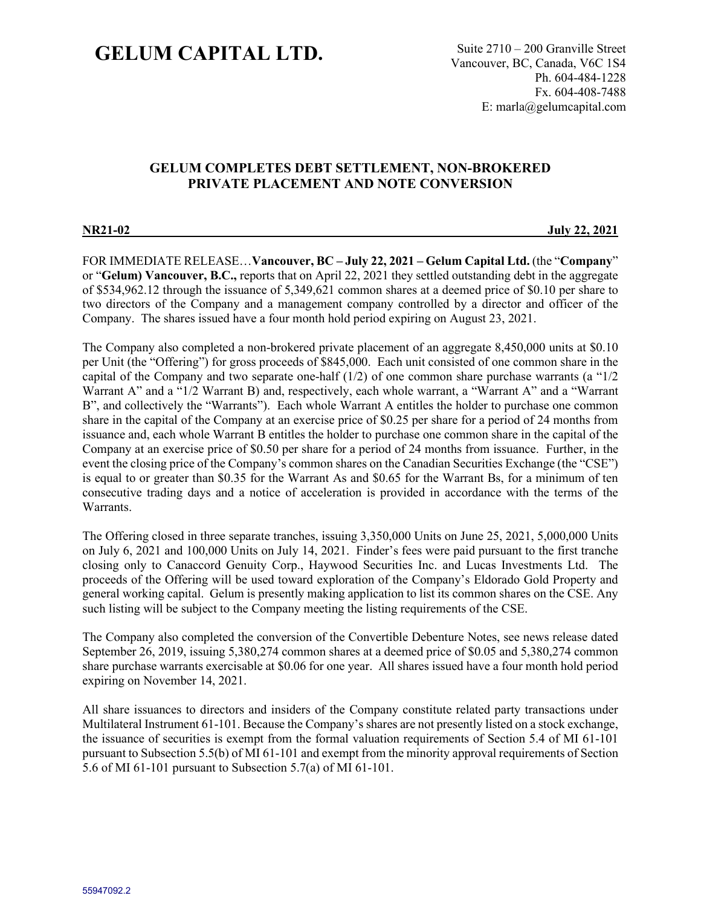# **GELUM CAPITAL LTD.** Suite 2710 – 200 Granville Street

Vancouver, BC, Canada, V6C 1S4 Ph. 604-484-1228 Fx. 604-408-7488 E: marla@gelumcapital.com

# **GELUM COMPLETES DEBT SETTLEMENT, NON-BROKERED PRIVATE PLACEMENT AND NOTE CONVERSION**

**NR21-02 July 22, 2021**

FOR IMMEDIATE RELEASE…**Vancouver, BC – July 22, 2021 – Gelum Capital Ltd.** (the "**Company**" or "**Gelum) Vancouver, B.C.,** reports that on April 22, 2021 they settled outstanding debt in the aggregate of \$534,962.12 through the issuance of 5,349,621 common shares at a deemed price of \$0.10 per share to two directors of the Company and a management company controlled by a director and officer of the Company. The shares issued have a four month hold period expiring on August 23, 2021.

The Company also completed a non-brokered private placement of an aggregate 8,450,000 units at \$0.10 per Unit (the "Offering") for gross proceeds of \$845,000. Each unit consisted of one common share in the capital of the Company and two separate one-half (1/2) of one common share purchase warrants (a "1/2 Warrant A" and a "1/2 Warrant B) and, respectively, each whole warrant, a "Warrant A" and a "Warrant B", and collectively the "Warrants"). Each whole Warrant A entitles the holder to purchase one common share in the capital of the Company at an exercise price of \$0.25 per share for a period of 24 months from issuance and, each whole Warrant B entitles the holder to purchase one common share in the capital of the Company at an exercise price of \$0.50 per share for a period of 24 months from issuance. Further, in the event the closing price of the Company's common shares on the Canadian Securities Exchange (the "CSE") is equal to or greater than \$0.35 for the Warrant As and \$0.65 for the Warrant Bs, for a minimum of ten consecutive trading days and a notice of acceleration is provided in accordance with the terms of the Warrants.

The Offering closed in three separate tranches, issuing 3,350,000 Units on June 25, 2021, 5,000,000 Units on July 6, 2021 and 100,000 Units on July 14, 2021. Finder's fees were paid pursuant to the first tranche closing only to Canaccord Genuity Corp., Haywood Securities Inc. and Lucas Investments Ltd. The proceeds of the Offering will be used toward exploration of the Company's Eldorado Gold Property and general working capital. Gelum is presently making application to list its common shares on the CSE. Any such listing will be subject to the Company meeting the listing requirements of the CSE.

The Company also completed the conversion of the Convertible Debenture Notes, see news release dated September 26, 2019, issuing 5,380,274 common shares at a deemed price of \$0.05 and 5,380,274 common share purchase warrants exercisable at \$0.06 for one year. All shares issued have a four month hold period expiring on November 14, 2021.

All share issuances to directors and insiders of the Company constitute related party transactions under Multilateral Instrument 61-101. Because the Company's shares are not presently listed on a stock exchange, the issuance of securities is exempt from the formal valuation requirements of Section 5.4 of MI 61-101 pursuant to Subsection 5.5(b) of MI 61-101 and exempt from the minority approval requirements of Section 5.6 of MI 61-101 pursuant to Subsection 5.7(a) of MI 61-101.